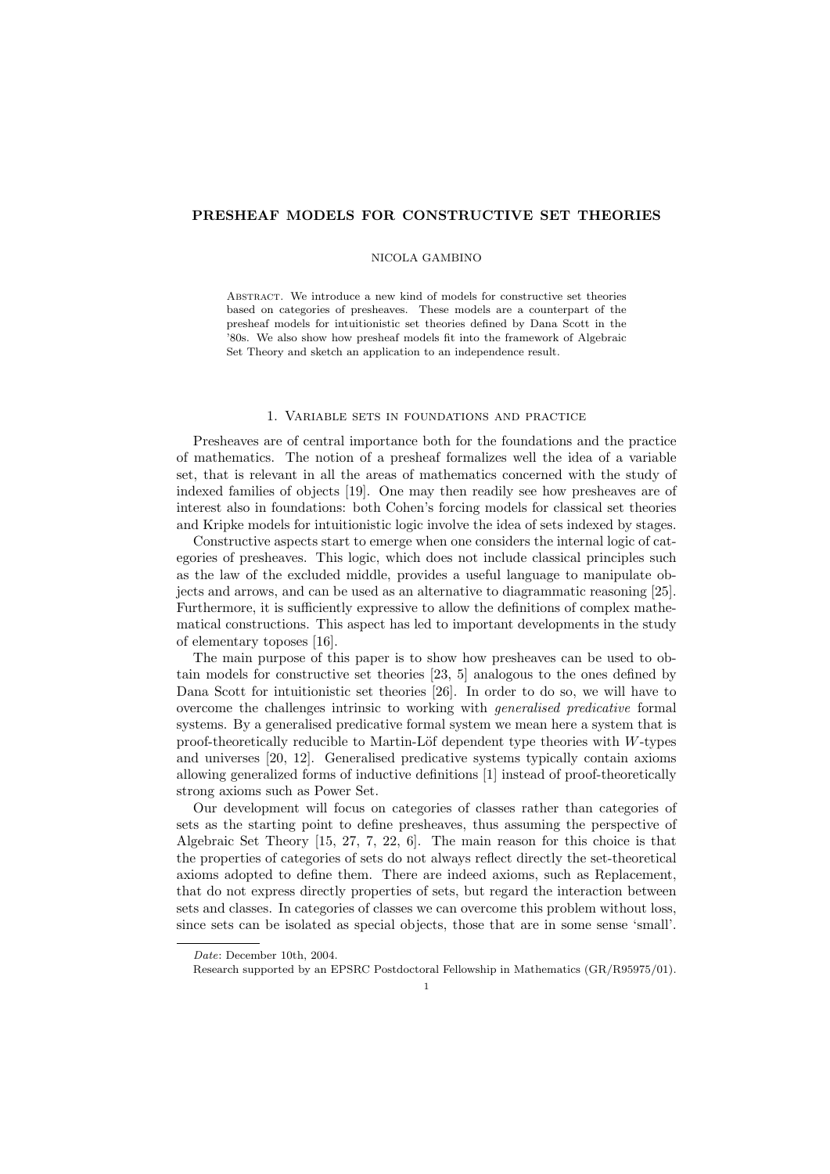## PRESHEAF MODELS FOR CONSTRUCTIVE SET THEORIES

#### NICOLA GAMBINO

Abstract. We introduce a new kind of models for constructive set theories based on categories of presheaves. These models are a counterpart of the presheaf models for intuitionistic set theories defined by Dana Scott in the '80s. We also show how presheaf models fit into the framework of Algebraic Set Theory and sketch an application to an independence result.

## 1. Variable sets in foundations and practice

Presheaves are of central importance both for the foundations and the practice of mathematics. The notion of a presheaf formalizes well the idea of a variable set, that is relevant in all the areas of mathematics concerned with the study of indexed families of objects [19]. One may then readily see how presheaves are of interest also in foundations: both Cohen's forcing models for classical set theories and Kripke models for intuitionistic logic involve the idea of sets indexed by stages.

Constructive aspects start to emerge when one considers the internal logic of categories of presheaves. This logic, which does not include classical principles such as the law of the excluded middle, provides a useful language to manipulate objects and arrows, and can be used as an alternative to diagrammatic reasoning [25]. Furthermore, it is sufficiently expressive to allow the definitions of complex mathematical constructions. This aspect has led to important developments in the study of elementary toposes [16].

The main purpose of this paper is to show how presheaves can be used to obtain models for constructive set theories [23, 5] analogous to the ones defined by Dana Scott for intuitionistic set theories [26]. In order to do so, we will have to overcome the challenges intrinsic to working with generalised predicative formal systems. By a generalised predicative formal system we mean here a system that is proof-theoretically reducible to Martin-Löf dependent type theories with  $W$ -types and universes [20, 12]. Generalised predicative systems typically contain axioms allowing generalized forms of inductive definitions [1] instead of proof-theoretically strong axioms such as Power Set.

Our development will focus on categories of classes rather than categories of sets as the starting point to define presheaves, thus assuming the perspective of Algebraic Set Theory [15, 27, 7, 22, 6]. The main reason for this choice is that the properties of categories of sets do not always reflect directly the set-theoretical axioms adopted to define them. There are indeed axioms, such as Replacement, that do not express directly properties of sets, but regard the interaction between sets and classes. In categories of classes we can overcome this problem without loss, since sets can be isolated as special objects, those that are in some sense 'small'.

Date: December 10th, 2004.

Research supported by an EPSRC Postdoctoral Fellowship in Mathematics (GR/R95975/01).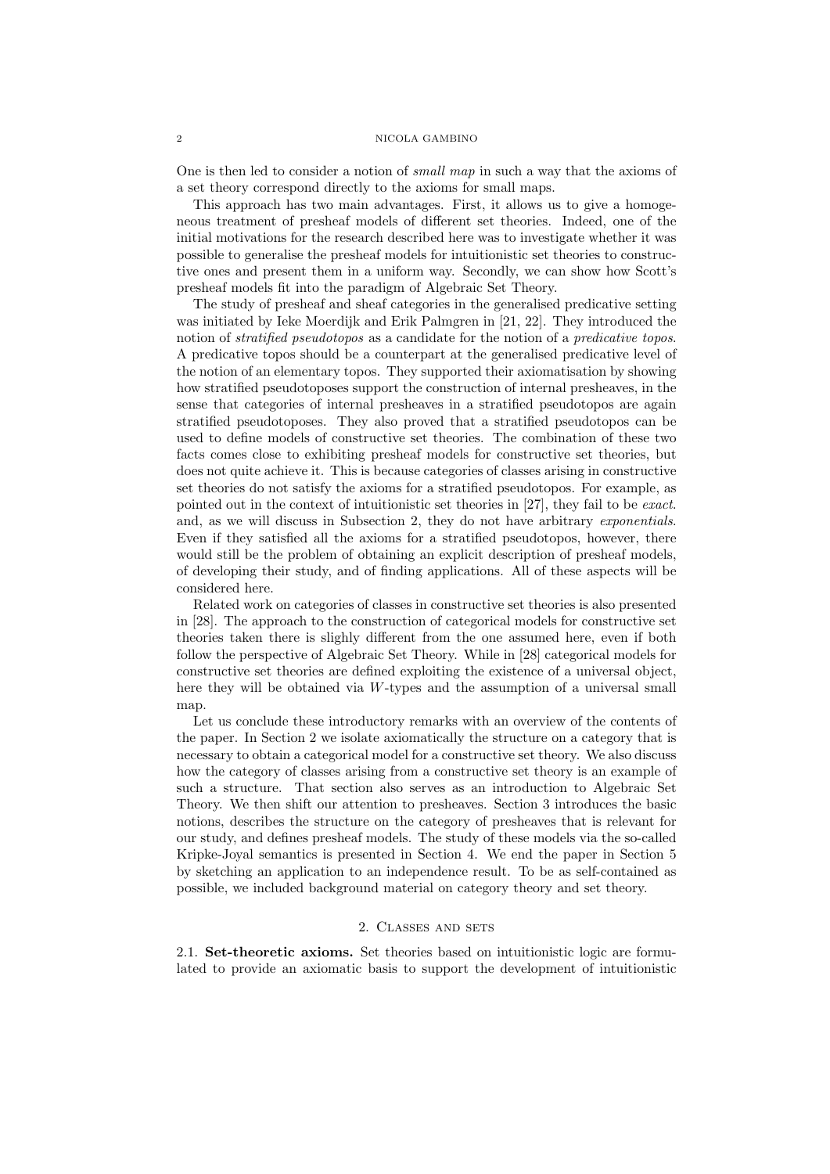#### 2 NICOLA GAMBINO

One is then led to consider a notion of small map in such a way that the axioms of a set theory correspond directly to the axioms for small maps.

This approach has two main advantages. First, it allows us to give a homogeneous treatment of presheaf models of different set theories. Indeed, one of the initial motivations for the research described here was to investigate whether it was possible to generalise the presheaf models for intuitionistic set theories to constructive ones and present them in a uniform way. Secondly, we can show how Scott's presheaf models fit into the paradigm of Algebraic Set Theory.

The study of presheaf and sheaf categories in the generalised predicative setting was initiated by Ieke Moerdijk and Erik Palmgren in [21, 22]. They introduced the notion of *stratified pseudotopos* as a candidate for the notion of a *predicative topos*. A predicative topos should be a counterpart at the generalised predicative level of the notion of an elementary topos. They supported their axiomatisation by showing how stratified pseudotoposes support the construction of internal presheaves, in the sense that categories of internal presheaves in a stratified pseudotopos are again stratified pseudotoposes. They also proved that a stratified pseudotopos can be used to define models of constructive set theories. The combination of these two facts comes close to exhibiting presheaf models for constructive set theories, but does not quite achieve it. This is because categories of classes arising in constructive set theories do not satisfy the axioms for a stratified pseudotopos. For example, as pointed out in the context of intuitionistic set theories in [27], they fail to be exact. and, as we will discuss in Subsection 2, they do not have arbitrary exponentials. Even if they satisfied all the axioms for a stratified pseudotopos, however, there would still be the problem of obtaining an explicit description of presheaf models, of developing their study, and of finding applications. All of these aspects will be considered here.

Related work on categories of classes in constructive set theories is also presented in [28]. The approach to the construction of categorical models for constructive set theories taken there is slighly different from the one assumed here, even if both follow the perspective of Algebraic Set Theory. While in [28] categorical models for constructive set theories are defined exploiting the existence of a universal object, here they will be obtained via W-types and the assumption of a universal small map.

Let us conclude these introductory remarks with an overview of the contents of the paper. In Section 2 we isolate axiomatically the structure on a category that is necessary to obtain a categorical model for a constructive set theory. We also discuss how the category of classes arising from a constructive set theory is an example of such a structure. That section also serves as an introduction to Algebraic Set Theory. We then shift our attention to presheaves. Section 3 introduces the basic notions, describes the structure on the category of presheaves that is relevant for our study, and defines presheaf models. The study of these models via the so-called Kripke-Joyal semantics is presented in Section 4. We end the paper in Section 5 by sketching an application to an independence result. To be as self-contained as possible, we included background material on category theory and set theory.

## 2. Classes and sets

2.1. Set-theoretic axioms. Set theories based on intuitionistic logic are formulated to provide an axiomatic basis to support the development of intuitionistic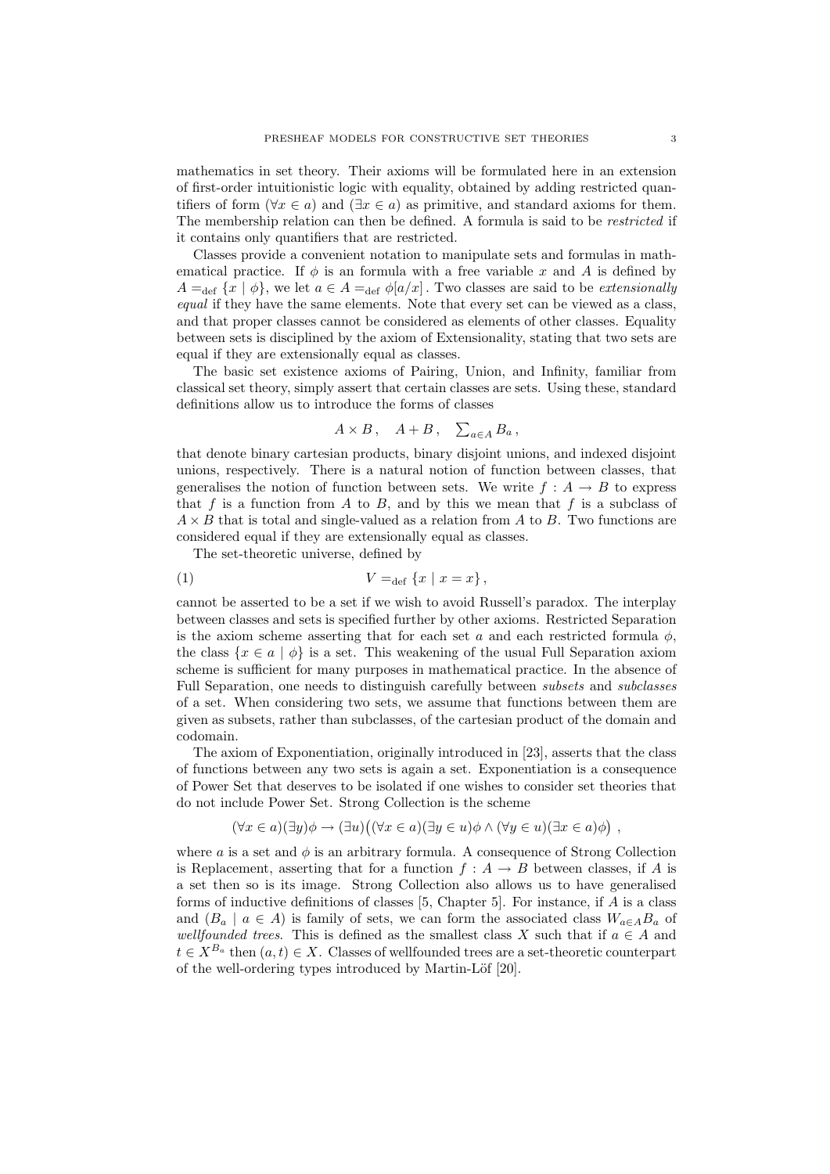mathematics in set theory. Their axioms will be formulated here in an extension of first-order intuitionistic logic with equality, obtained by adding restricted quantifiers of form ( $\forall x \in a$ ) and ( $\exists x \in a$ ) as primitive, and standard axioms for them. The membership relation can then be defined. A formula is said to be restricted if it contains only quantifiers that are restricted.

Classes provide a convenient notation to manipulate sets and formulas in mathematical practice. If  $\phi$  is an formula with a free variable x and A is defined by  $A =_{\text{def}} \{x \mid \phi\}$ , we let  $a \in A =_{\text{def}} \phi[a/x]$ . Two classes are said to be *extensionally* equal if they have the same elements. Note that every set can be viewed as a class, and that proper classes cannot be considered as elements of other classes. Equality between sets is disciplined by the axiom of Extensionality, stating that two sets are equal if they are extensionally equal as classes.

The basic set existence axioms of Pairing, Union, and Infinity, familiar from classical set theory, simply assert that certain classes are sets. Using these, standard definitions allow us to introduce the forms of classes

$$
A \times B\,, \quad A + B\,, \quad \sum_{a \in A} B_a\,,
$$

that denote binary cartesian products, binary disjoint unions, and indexed disjoint unions, respectively. There is a natural notion of function between classes, that generalises the notion of function between sets. We write  $f : A \rightarrow B$  to express that f is a function from A to B, and by this we mean that f is a subclass of  $A \times B$  that is total and single-valued as a relation from A to B. Two functions are considered equal if they are extensionally equal as classes.

The set-theoretic universe, defined by

$$
(1) \tV =_{def} \{x \mid x = x\},
$$

cannot be asserted to be a set if we wish to avoid Russell's paradox. The interplay between classes and sets is specified further by other axioms. Restricted Separation is the axiom scheme asserting that for each set a and each restricted formula  $\phi$ , the class  $\{x \in a \mid \phi\}$  is a set. This weakening of the usual Full Separation axiom scheme is sufficient for many purposes in mathematical practice. In the absence of Full Separation, one needs to distinguish carefully between *subsets* and *subclasses* of a set. When considering two sets, we assume that functions between them are given as subsets, rather than subclasses, of the cartesian product of the domain and codomain.

The axiom of Exponentiation, originally introduced in [23], asserts that the class of functions between any two sets is again a set. Exponentiation is a consequence of Power Set that deserves to be isolated if one wishes to consider set theories that do not include Power Set. Strong Collection is the scheme

$$
(\forall x \in a)(\exists y)\phi \to (\exists u)((\forall x \in a)(\exists y \in u)\phi \land (\forall y \in u)(\exists x \in a)\phi),
$$

where a is a set and  $\phi$  is an arbitrary formula. A consequence of Strong Collection is Replacement, asserting that for a function  $f : A \to B$  between classes, if A is a set then so is its image. Strong Collection also allows us to have generalised forms of inductive definitions of classes  $[5,$  Chapter 5. For instance, if A is a class and  $(B_a \mid a \in A)$  is family of sets, we can form the associated class  $W_{a \in A} B_a$  of wellfounded trees. This is defined as the smallest class X such that if  $a \in A$  and  $t \in X^{B_a}$  then  $(a, t) \in X$ . Classes of wellfounded trees are a set-theoretic counterpart of the well-ordering types introduced by Martin-Löf  $[20]$ .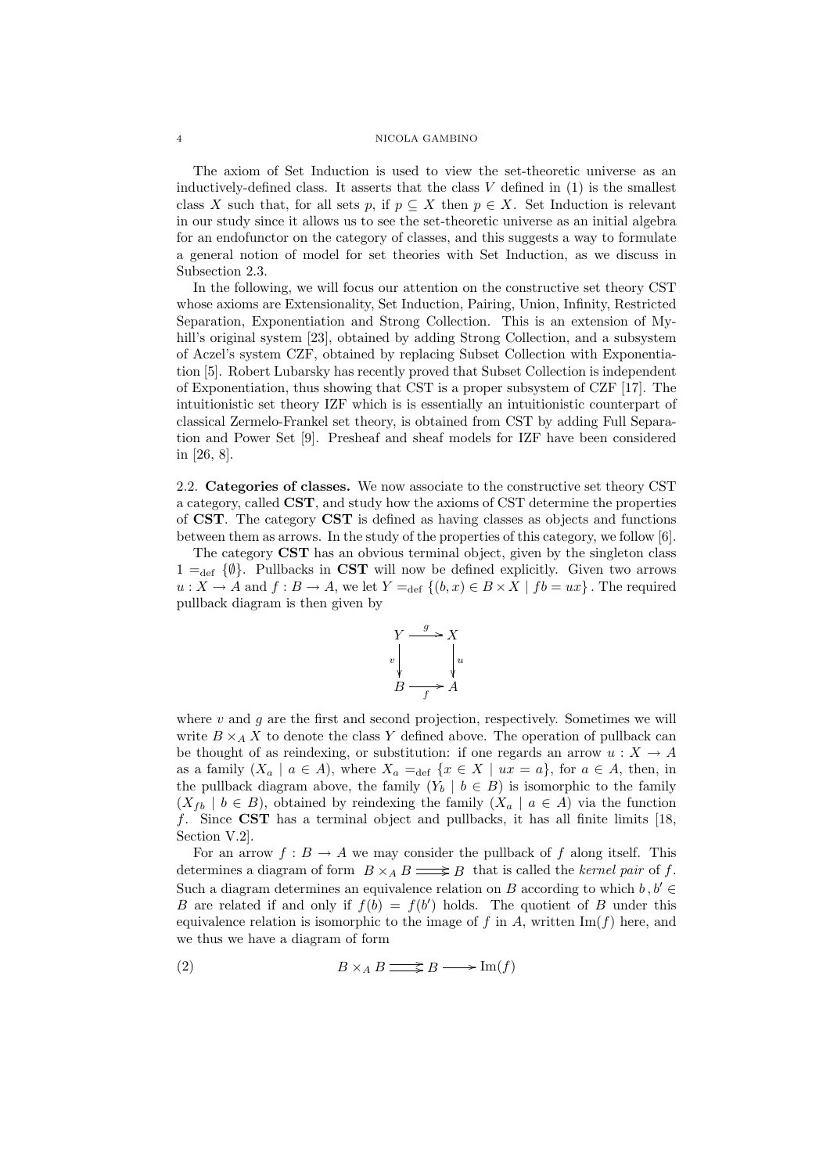#### 4 NICOLA GAMBINO

The axiom of Set Induction is used to view the set-theoretic universe as an inductively-defined class. It asserts that the class  $V$  defined in  $(1)$  is the smallest class X such that, for all sets p, if  $p \subseteq X$  then  $p \in X$ . Set Induction is relevant in our study since it allows us to see the set-theoretic universe as an initial algebra for an endofunctor on the category of classes, and this suggests a way to formulate a general notion of model for set theories with Set Induction, as we discuss in Subsection 2.3.

In the following, we will focus our attention on the constructive set theory CST whose axioms are Extensionality, Set Induction, Pairing, Union, Infinity, Restricted Separation, Exponentiation and Strong Collection. This is an extension of Myhill's original system [23], obtained by adding Strong Collection, and a subsystem of Aczel's system CZF, obtained by replacing Subset Collection with Exponentiation [5]. Robert Lubarsky has recently proved that Subset Collection is independent of Exponentiation, thus showing that CST is a proper subsystem of CZF [17]. The intuitionistic set theory IZF which is is essentially an intuitionistic counterpart of classical Zermelo-Frankel set theory, is obtained from CST by adding Full Separation and Power Set [9]. Presheaf and sheaf models for IZF have been considered in [26, 8].

2.2. Categories of classes. We now associate to the constructive set theory CST a category, called CST, and study how the axioms of CST determine the properties of CST. The category CST is defined as having classes as objects and functions between them as arrows. In the study of the properties of this category, we follow [6].

The category CST has an obvious terminal object, given by the singleton class  $1 =_{def} {\emptyset}.$  Pullbacks in CST will now be defined explicitly. Given two arrows  $u: X \to A$  and  $f: B \to A$ , we let  $Y =_{def} \{(b, x) \in B \times X \mid fb = ux\}$ . The required pullback diagram is then given by



where  $v$  and  $q$  are the first and second projection, respectively. Sometimes we will write  $B \times_A X$  to denote the class Y defined above. The operation of pullback can be thought of as reindexing, or substitution: if one regards an arrow  $u: X \to A$ as a family  $(X_a \mid a \in A)$ , where  $X_a =_{def} \{x \in X \mid ux = a\}$ , for  $a \in A$ , then, in the pullback diagram above, the family  $(Y_b | b \in B)$  is isomorphic to the family  $(X_{fb} | b \in B)$ , obtained by reindexing the family  $(X_a | a \in A)$  via the function f. Since CST has a terminal object and pullbacks, it has all finite limits [18, Section V.2].

For an arrow  $f : B \to A$  we may consider the pullback of f along itself. This determines a diagram of form  $B \times_A B \longrightarrow B$  that is called the *kernel pair* of f. Such a diagram determines an equivalence relation on B according to which  $b, b' \in$ B are related if and only if  $f(b) = f(b')$  holds. The quotient of B under this equivalence relation is isomorphic to the image of f in A, written  $\text{Im}(f)$  here, and we thus we have a diagram of form

(2) 
$$
B \times_A B \longrightarrow B \longrightarrow \text{Im}(f)
$$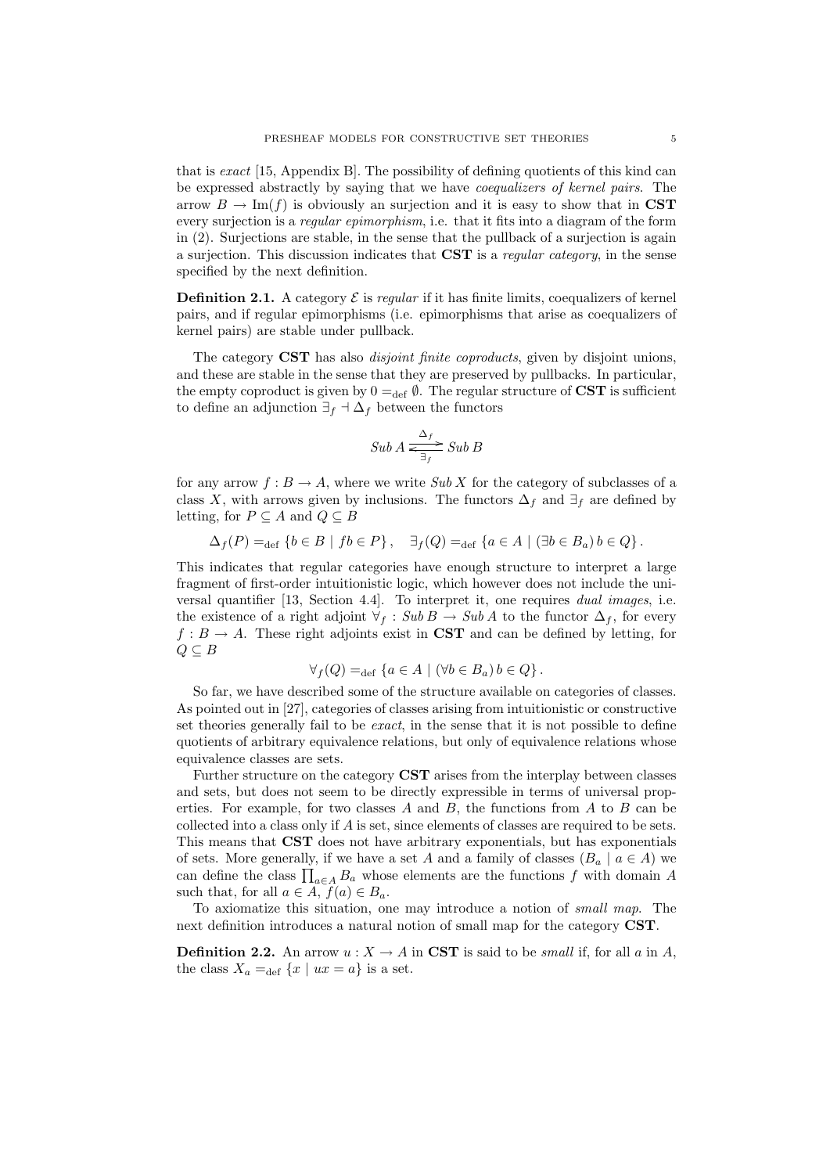that is exact [15, Appendix B]. The possibility of defining quotients of this kind can be expressed abstractly by saying that we have coequalizers of kernel pairs. The arrow  $B \to \text{Im}(f)$  is obviously an surjection and it is easy to show that in CST every surjection is a *regular epimorphism*, i.e. that it fits into a diagram of the form in (2). Surjections are stable, in the sense that the pullback of a surjection is again a surjection. This discussion indicates that CST is a regular category, in the sense specified by the next definition.

**Definition 2.1.** A category  $\mathcal{E}$  is regular if it has finite limits, coequalizers of kernel pairs, and if regular epimorphisms (i.e. epimorphisms that arise as coequalizers of kernel pairs) are stable under pullback.

The category CST has also *disjoint finite coproducts*, given by disjoint unions, and these are stable in the sense that they are preserved by pullbacks. In particular, the empty coproduct is given by  $0 =_{def} \emptyset$ . The regular structure of **CST** is sufficient to define an adjunction  $\exists_f \vdash \Delta_f$  between the functors

$$
Sub \, A \xrightarrow[\exists_f]{\Delta_f} Sub \, B
$$

for any arrow f :  $B \to A$ , where we write Sub X for the category of subclasses of a class X, with arrows given by inclusions. The functors  $\Delta_f$  and  $\exists_f$  are defined by letting, for  $P \subseteq A$  and  $Q \subseteq B$ 

$$
\Delta_f(P) =_{\text{def}} \{b \in B \mid fb \in P\}, \quad \exists_f(Q) =_{\text{def}} \{a \in A \mid (\exists b \in B_a) b \in Q\}.
$$

This indicates that regular categories have enough structure to interpret a large fragment of first-order intuitionistic logic, which however does not include the universal quantifier [13, Section 4.4]. To interpret it, one requires dual images, i.e. the existence of a right adjoint  $\forall f : Sub B \rightarrow Sub A$  to the functor  $\Delta_f$ , for every  $f : B \to A$ . These right adjoints exist in CST and can be defined by letting, for  $Q \subseteq B$ 

$$
\forall_f(Q) =_{\text{def}} \{a \in A \mid (\forall b \in B_a) b \in Q\}.
$$

So far, we have described some of the structure available on categories of classes. As pointed out in [27], categories of classes arising from intuitionistic or constructive set theories generally fail to be *exact*, in the sense that it is not possible to define quotients of arbitrary equivalence relations, but only of equivalence relations whose equivalence classes are sets.

Further structure on the category CST arises from the interplay between classes and sets, but does not seem to be directly expressible in terms of universal properties. For example, for two classes  $A$  and  $B$ , the functions from  $A$  to  $B$  can be collected into a class only if A is set, since elements of classes are required to be sets. This means that CST does not have arbitrary exponentials, but has exponentials of sets. More generally, if we have a set A and a family of classes  $(B_a \mid a \in A)$  we can define the class  $\prod_{a \in A} B_a$  whose elements are the functions f with domain A such that, for all  $a \in A$ ,  $f(a) \in B_a$ .

To axiomatize this situation, one may introduce a notion of small map. The next definition introduces a natural notion of small map for the category CST.

**Definition 2.2.** An arrow  $u : X \to A$  in CST is said to be *small* if, for all a in A, the class  $X_a =_{def} \{x \mid ux = a\}$  is a set.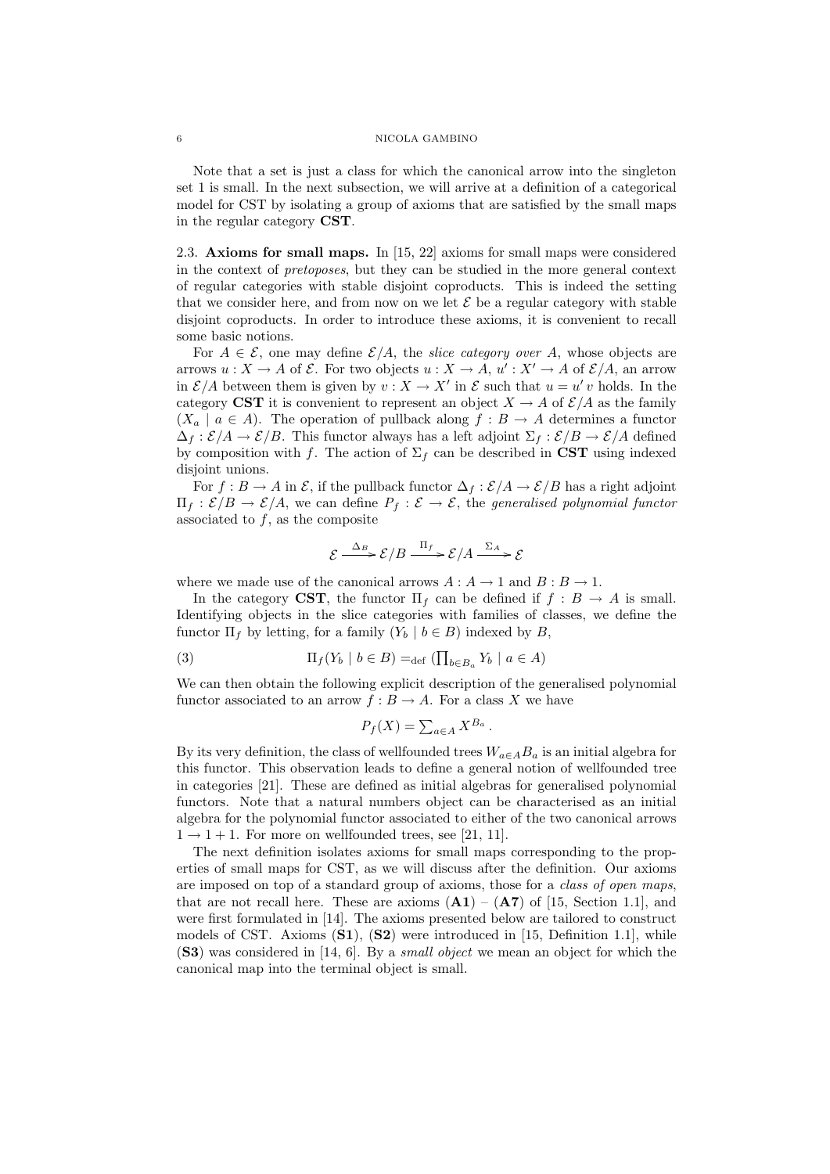Note that a set is just a class for which the canonical arrow into the singleton set 1 is small. In the next subsection, we will arrive at a definition of a categorical model for CST by isolating a group of axioms that are satisfied by the small maps in the regular category CST.

2.3. Axioms for small maps. In [15, 22] axioms for small maps were considered in the context of pretoposes, but they can be studied in the more general context of regular categories with stable disjoint coproducts. This is indeed the setting that we consider here, and from now on we let  $\mathcal E$  be a regular category with stable disjoint coproducts. In order to introduce these axioms, it is convenient to recall some basic notions.

For  $A \in \mathcal{E}$ , one may define  $\mathcal{E}/A$ , the *slice category over* A, whose objects are arrows  $u: X \to A$  of  $\mathcal{E}$ . For two objects  $u: X \to A$ ,  $u': X' \to A$  of  $\mathcal{E}/A$ , an arrow in  $\mathcal{E}/A$  between them is given by  $v : X \to X'$  in  $\mathcal{E}$  such that  $u = u'v$  holds. In the category CST it is convenient to represent an object  $X \to A$  of  $\mathcal{E}/A$  as the family  $(X_a \mid a \in A)$ . The operation of pullback along  $f : B \to A$  determines a functor  $\Delta_f : \mathcal{E}/A \to \mathcal{E}/B$ . This functor always has a left adjoint  $\Sigma_f : \mathcal{E}/B \to \mathcal{E}/A$  defined by composition with f. The action of  $\Sigma_f$  can be described in CST using indexed disjoint unions.

For  $f : B \to A$  in  $\mathcal{E}$ , if the pullback functor  $\Delta_f : \mathcal{E}/A \to \mathcal{E}/B$  has a right adjoint  $\Pi_f : \mathcal{E}/B \to \mathcal{E}/A$ , we can define  $P_f : \mathcal{E} \to \mathcal{E}$ , the generalised polynomial functor associated to  $f$ , as the composite

$$
\mathcal{E} \xrightarrow{\Delta_B} \mathcal{E}/B \xrightarrow{\Pi_f} \mathcal{E}/A \xrightarrow{\Sigma_A} \mathcal{E}
$$

where we made use of the canonical arrows  $A : A \to 1$  and  $B : B \to 1$ .

In the category CST, the functor  $\Pi_f$  can be defined if  $f : B \to A$  is small. Identifying objects in the slice categories with families of classes, we define the functor  $\Pi_f$  by letting, for a family  $(Y_b | b \in B)$  indexed by B,

(3) 
$$
\Pi_f(Y_b \mid b \in B) =_{def} (\prod_{b \in B_a} Y_b \mid a \in A)
$$

We can then obtain the following explicit description of the generalised polynomial functor associated to an arrow  $f : B \to A$ . For a class X we have

$$
P_f(X) = \sum_{a \in A} X^{B_a}.
$$

By its very definition, the class of wellfounded trees  $W_{a\in A}B_a$  is an initial algebra for this functor. This observation leads to define a general notion of wellfounded tree in categories [21]. These are defined as initial algebras for generalised polynomial functors. Note that a natural numbers object can be characterised as an initial algebra for the polynomial functor associated to either of the two canonical arrows  $1 \rightarrow 1 + 1$ . For more on wellfounded trees, see [21, 11].

The next definition isolates axioms for small maps corresponding to the properties of small maps for CST, as we will discuss after the definition. Our axioms are imposed on top of a standard group of axioms, those for a class of open maps, that are not recall here. These are axioms  $(A1) - (A7)$  of [15, Section 1.1], and were first formulated in [14]. The axioms presented below are tailored to construct models of CST. Axioms  $(S1)$ ,  $(S2)$  were introduced in [15, Definition 1.1], while (S3) was considered in [14, 6]. By a small object we mean an object for which the canonical map into the terminal object is small.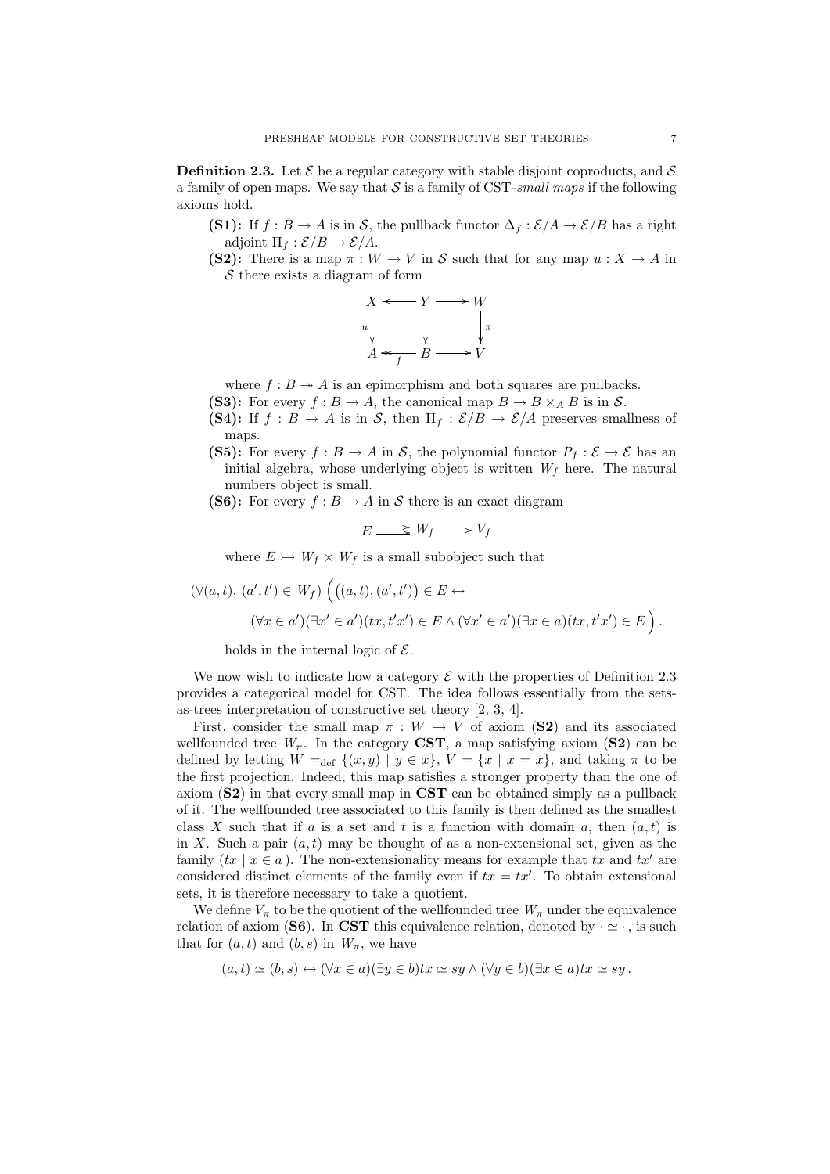**Definition 2.3.** Let  $\mathcal{E}$  be a regular category with stable disjoint coproducts, and  $\mathcal{S}$ a family of open maps. We say that  $S$  is a family of CST-small maps if the following axioms hold.

(S1): If  $f : B \to A$  is in S, the pullback functor  $\Delta_f : \mathcal{E}/A \to \mathcal{E}/B$  has a right adjoint  $\Pi_f : \mathcal{E}/B \to \mathcal{E}/A$ .

(S2): There is a map  $\pi : W \to V$  in S such that for any map  $u : X \to A$  in  $S$  there exists a diagram of form



where  $f : B \to A$  is an epimorphism and both squares are pullbacks.

(S3): For every  $f : B \to A$ , the canonical map  $B \to B \times_A B$  is in S.

- (S4): If  $f : B \to A$  is in S, then  $\Pi_f : \mathcal{E}/B \to \mathcal{E}/A$  preserves smallness of maps.
- (S5): For every  $f : B \to A$  in S, the polynomial functor  $P_f : \mathcal{E} \to \mathcal{E}$  has an initial algebra, whose underlying object is written  $W_f$  here. The natural numbers object is small.
- (S6): For every  $f : B \to A$  in S there is an exact diagram

$$
E \mathop{\Longrightarrow}\limits^{} {W_f} \mathop{\longrightarrow}\limits^{} {V_f}
$$

where  $E \rightarrowtail W_f \times W_f$  is a small subobject such that

$$
(\forall (a, t), (a', t') \in W_f) \left( ((a, t), (a', t')) \in E \leftrightarrow (\forall x \in a')(\exists x' \in a')(tx, t'x') \in E \land (\forall x' \in a')(\exists x \in a)(tx, t'x') \in E \right).
$$

holds in the internal logic of  $\mathcal{E}$ .

We now wish to indicate how a category  $\mathcal E$  with the properties of Definition 2.3 provides a categorical model for CST. The idea follows essentially from the setsas-trees interpretation of constructive set theory [2, 3, 4].

First, consider the small map  $\pi : W \to V$  of axiom (S2) and its associated wellfounded tree  $W_{\pi}$ . In the category CST, a map satisfying axiom (S2) can be defined by letting  $W =_{def} \{(x, y) | y \in x\}, V = \{x | x = x\}$ , and taking  $\pi$  to be the first projection. Indeed, this map satisfies a stronger property than the one of axiom  $(S2)$  in that every small map in CST can be obtained simply as a pullback of it. The wellfounded tree associated to this family is then defined as the smallest class X such that if a is a set and t is a function with domain a, then  $(a, t)$  is in X. Such a pair  $(a, t)$  may be thought of as a non-extensional set, given as the family  $(tx \mid x \in a)$ . The non-extensionality means for example that tx and tx' are considered distinct elements of the family even if  $tx = tx'$ . To obtain extensional sets, it is therefore necessary to take a quotient.

We define  $V_{\pi}$  to be the quotient of the wellfounded tree  $W_{\pi}$  under the equivalence relation of axiom (S6). In CST this equivalence relation, denoted by  $\cdot \simeq \cdot$ , is such that for  $(a, t)$  and  $(b, s)$  in  $W_{\pi}$ , we have

$$
(a,t) \simeq (b,s) \leftrightarrow (\forall x \in a)(\exists y \in b)tx \simeq sy \wedge (\forall y \in b)(\exists x \in a)tx \simeq sy.
$$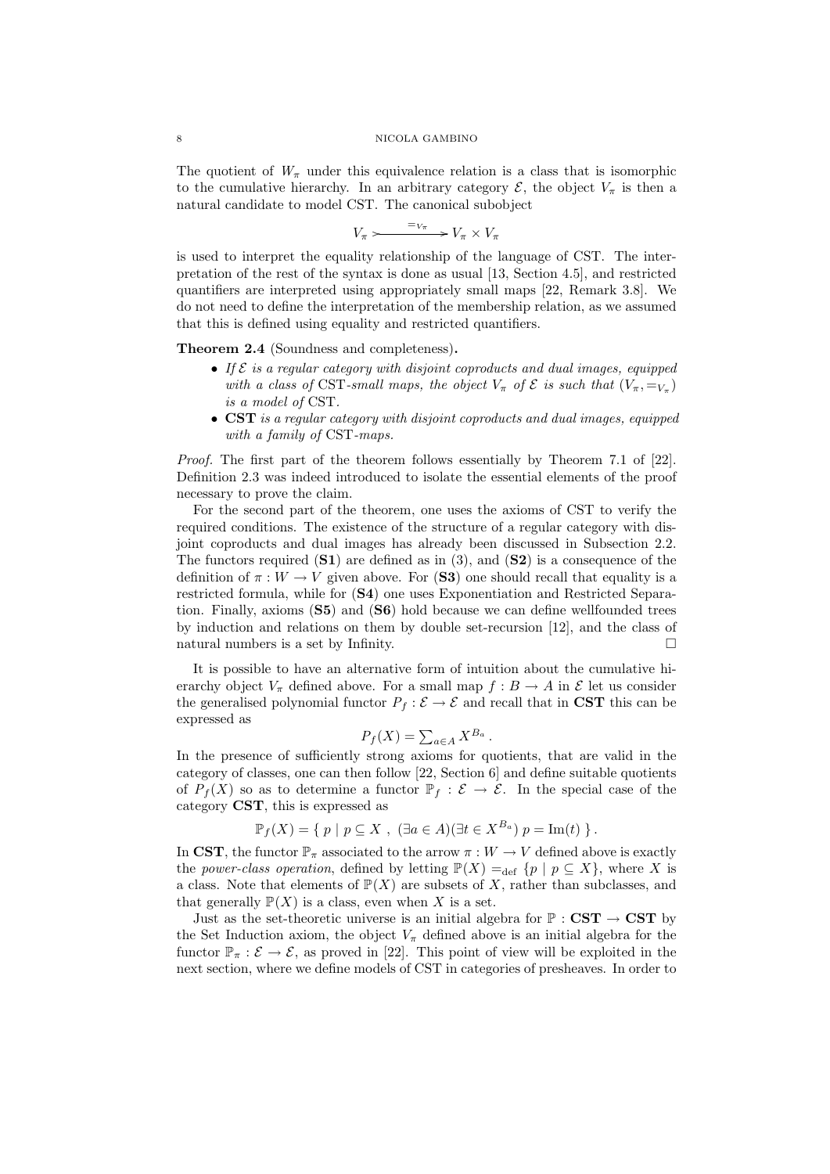The quotient of  $W_{\pi}$  under this equivalence relation is a class that is isomorphic to the cumulative hierarchy. In an arbitrary category  $\mathcal{E}$ , the object  $V_{\pi}$  is then a natural candidate to model CST. The canonical subobject

$$
V_{\pi} \rightarrow \longrightarrow V_{\pi} \times V_{\pi}
$$

is used to interpret the equality relationship of the language of CST. The interpretation of the rest of the syntax is done as usual [13, Section 4.5], and restricted quantifiers are interpreted using appropriately small maps [22, Remark 3.8]. We do not need to define the interpretation of the membership relation, as we assumed that this is defined using equality and restricted quantifiers.

Theorem 2.4 (Soundness and completeness).

- If  $\mathcal E$  is a regular category with disjoint coproducts and dual images, equipped with a class of CST-small maps, the object  $V_{\pi}$  of  $\mathcal E$  is such that  $(V_{\pi}, =_{V_{\pi}})$ is a model of CST.
- CST is a regular category with disjoint coproducts and dual images, equipped with a family of CST-maps.

Proof. The first part of the theorem follows essentially by Theorem 7.1 of [22]. Definition 2.3 was indeed introduced to isolate the essential elements of the proof necessary to prove the claim.

For the second part of the theorem, one uses the axioms of CST to verify the required conditions. The existence of the structure of a regular category with disjoint coproducts and dual images has already been discussed in Subsection 2.2. The functors required  $(S1)$  are defined as in (3), and  $(S2)$  is a consequence of the definition of  $\pi : W \to V$  given above. For (S3) one should recall that equality is a restricted formula, while for (S4) one uses Exponentiation and Restricted Separation. Finally, axioms  $(S5)$  and  $(S6)$  hold because we can define wellfounded trees by induction and relations on them by double set-recursion [12], and the class of natural numbers is a set by Infinity.

It is possible to have an alternative form of intuition about the cumulative hierarchy object  $V_{\pi}$  defined above. For a small map  $f : B \to A$  in  $\mathcal E$  let us consider the generalised polynomial functor  $P_f : \mathcal{E} \to \mathcal{E}$  and recall that in CST this can be expressed as

$$
P_f(X) = \sum_{a \in A} X^{B_a}.
$$

In the presence of sufficiently strong axioms for quotients, that are valid in the category of classes, one can then follow [22, Section 6] and define suitable quotients of  $P_f(X)$  so as to determine a functor  $\mathbb{P}_f : \mathcal{E} \to \mathcal{E}$ . In the special case of the category CST, this is expressed as

$$
\mathbb{P}_f(X) = \{ p \mid p \subseteq X, \ (\exists a \in A)(\exists t \in X^{B_a}) p = \text{Im}(t) \}.
$$

In CST, the functor  $\mathbb{P}_{\pi}$  associated to the arrow  $\pi : W \to V$  defined above is exactly the power-class operation, defined by letting  $\mathbb{P}(X) =_{\text{def}} \{p \mid p \subseteq X\}$ , where X is a class. Note that elements of  $\mathbb{P}(X)$  are subsets of X, rather than subclasses, and that generally  $\mathbb{P}(X)$  is a class, even when X is a set.

Just as the set-theoretic universe is an initial algebra for  $\mathbb{P}: \mathbf{CST} \to \mathbf{CST}$  by the Set Induction axiom, the object  $V_{\pi}$  defined above is an initial algebra for the functor  $\mathbb{P}_{\pi}: \mathcal{E} \to \mathcal{E}$ , as proved in [22]. This point of view will be exploited in the next section, where we define models of CST in categories of presheaves. In order to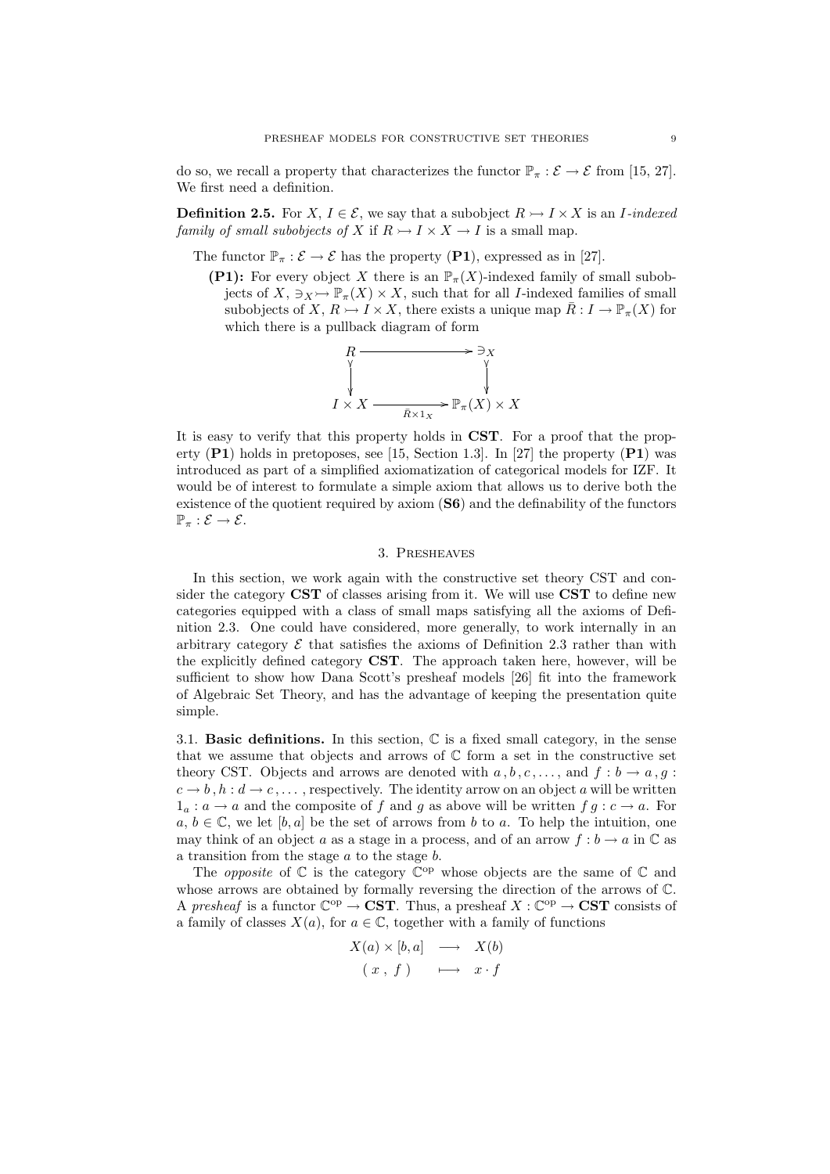do so, we recall a property that characterizes the functor  $\mathbb{P}_{\pi}: \mathcal{E} \to \mathcal{E}$  from [15, 27]. We first need a definition.

**Definition 2.5.** For  $X, I \in \mathcal{E}$ , we say that a subobject  $R \rightarrow I \times X$  is an *I-indexed* family of small subobjects of X if  $R \rightarrow I \times X \rightarrow I$  is a small map.

The functor  $\mathbb{P}_{\pi}: \mathcal{E} \to \mathcal{E}$  has the property (P1), expressed as in [27].

(P1): For every object X there is an  $\mathbb{P}_{\pi}(X)$ -indexed family of small subobjects of  $X$ ,  $\ni_X \rightarrow \mathbb{P}_{\pi}(X) \times X$ , such that for all *I*-indexed families of small subobjects of X,  $R \rightarrow I \times X$ , there exists a unique map  $\overline{R}: I \rightarrow \mathbb{P}_{\pi}(X)$  for which there is a pullback diagram of form



It is easy to verify that this property holds in CST. For a proof that the property  $(P1)$  holds in pretoposes, see [15, Section 1.3]. In [27] the property  $(P1)$  was introduced as part of a simplified axiomatization of categorical models for IZF. It would be of interest to formulate a simple axiom that allows us to derive both the existence of the quotient required by axiom (S6) and the definability of the functors  $\mathbb{P}_{\pi}: \mathcal{E} \to \mathcal{E}.$ 

#### 3. Presheaves

In this section, we work again with the constructive set theory CST and consider the category CST of classes arising from it. We will use CST to define new categories equipped with a class of small maps satisfying all the axioms of Definition 2.3. One could have considered, more generally, to work internally in an arbitrary category  $\mathcal E$  that satisfies the axioms of Definition 2.3 rather than with the explicitly defined category CST. The approach taken here, however, will be sufficient to show how Dana Scott's presheaf models [26] fit into the framework of Algebraic Set Theory, and has the advantage of keeping the presentation quite simple.

3.1. Basic definitions. In this section,  $\mathbb C$  is a fixed small category, in the sense that we assume that objects and arrows of  $\mathbb C$  form a set in the constructive set theory CST. Objects and arrows are denoted with  $a, b, c, \ldots$ , and  $f : b \rightarrow a, q$ :  $c \to b$ ,  $h : d \to c$ ,..., respectively. The identity arrow on an object a will be written  $1_a: a \to a$  and the composite of f and q as above will be written f q :  $c \to a$ . For  $a, b \in \mathbb{C}$ , we let  $[b, a]$  be the set of arrows from b to a. To help the intuition, one may think of an object a as a stage in a process, and of an arrow  $f : b \to a$  in  $\mathbb C$  as a transition from the stage a to the stage b.

The *opposite* of  $\mathbb C$  is the category  $\mathbb C^{op}$  whose objects are the same of  $\mathbb C$  and whose arrows are obtained by formally reversing the direction of the arrows of C. A presheaf is a functor  $\mathbb{C}^{op} \to \mathbf{CST}$ . Thus, a presheaf  $X : \mathbb{C}^{op} \to \mathbf{CST}$  consists of a family of classes  $X(a)$ , for  $a \in \mathbb{C}$ , together with a family of functions

$$
X(a) \times [b, a] \longrightarrow X(b)
$$
  

$$
(x, f) \longmapsto x \cdot f
$$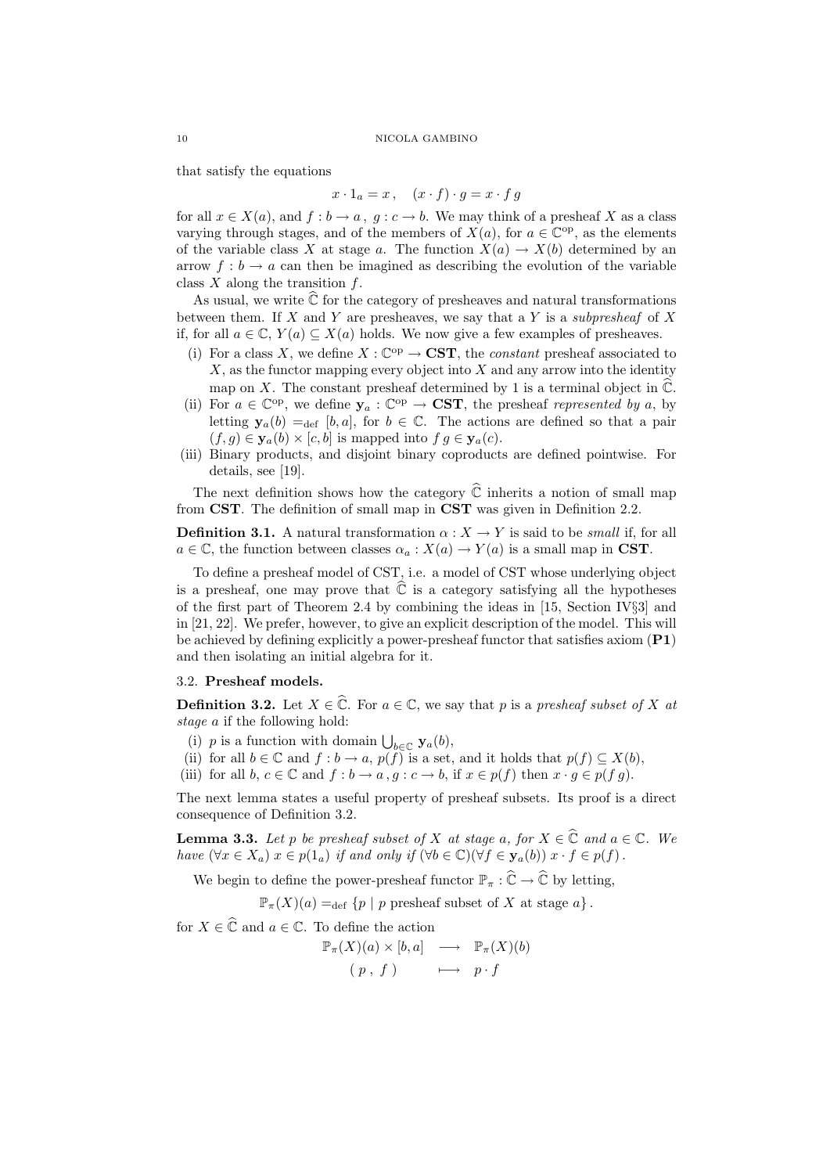that satisfy the equations

$$
x \cdot 1_a = x \,, \quad (x \cdot f) \cdot g = x \cdot f \, g
$$

for all  $x \in X(a)$ , and  $f : b \to a$ ,  $g : c \to b$ . We may think of a presheaf X as a class varying through stages, and of the members of  $X(a)$ , for  $a \in \mathbb{C}^{op}$ , as the elements of the variable class X at stage a. The function  $X(a) \to X(b)$  determined by an arrow  $f : b \to a$  can then be imagined as describing the evolution of the variable class  $X$  along the transition  $f$ .

As usual, we write  $\overline{C}$  for the category of presheaves and natural transformations between them. If X and Y are presheaves, we say that a Y is a subpresheaf of X if, for all  $a \in \mathbb{C}$ ,  $Y(a) \subseteq X(a)$  holds. We now give a few examples of presheaves.

- (i) For a class X, we define  $X : \mathbb{C}^{op} \to \mathbf{CST}$ , the *constant* presheaf associated to  $X$ , as the functor mapping every object into  $X$  and any arrow into the identity map on X. The constant presheaf determined by 1 is a terminal object in  $\hat{\mathbb{C}}$ .
- (ii) For  $a \in \mathbb{C}^{op}$ , we define  $y_a : \mathbb{C}^{op} \to \mathbf{CST}$ , the presheaf *represented by a*, by letting  $y_a(b) =_{def} [b, a]$ , for  $b \in \mathbb{C}$ . The actions are defined so that a pair  $(f, g) \in \mathbf{y}_a(b) \times [c, b]$  is mapped into  $f \circ g \in \mathbf{y}_a(c)$ .
- (iii) Binary products, and disjoint binary coproducts are defined pointwise. For details, see [19].

The next definition shows how the category  $\hat{\mathbb{C}}$  inherits a notion of small map from CST. The definition of small map in CST was given in Definition 2.2.

**Definition 3.1.** A natural transformation  $\alpha : X \to Y$  is said to be *small* if, for all  $a \in \mathbb{C}$ , the function between classes  $\alpha_a : X(a) \to Y(a)$  is a small map in CST.

To define a presheaf model of CST, i.e. a model of CST whose underlying object is a presheaf, one may prove that  $\hat{\mathbb{C}}$  is a category satisfying all the hypotheses of the first part of Theorem 2.4 by combining the ideas in  $[15, Section IV\S3]$  and in [21, 22]. We prefer, however, to give an explicit description of the model. This will be achieved by defining explicitly a power-presheaf functor that satisfies axiom (P1) and then isolating an initial algebra for it.

## 3.2. Presheaf models.

**Definition 3.2.** Let  $X \in \mathbb{C}$ . For  $a \in \mathbb{C}$ , we say that p is a presheaf subset of X at stage a if the following hold:

- (i) p is a function with domain  $\bigcup_{b \in \mathbb{C}} \mathbf{y}_a(b)$ ,
- (ii) for all  $b \in \mathbb{C}$  and  $f : b \to a$ ,  $p(f)$  is a set, and it holds that  $p(f) \subseteq X(b)$ ,
- (iii) for all b,  $c \in \mathbb{C}$  and  $f : b \to a$ ,  $g : c \to b$ , if  $x \in p(f)$  then  $x \cdot g \in p(f g)$ .

The next lemma states a useful property of presheaf subsets. Its proof is a direct consequence of Definition 3.2.

**Lemma 3.3.** Let p be presheaf subset of X at stage a, for  $X \in \widehat{\mathbb{C}}$  and  $a \in \mathbb{C}$ . We have  $(\forall x \in X_a)$   $x \in p(1_a)$  if and only if  $(\forall b \in \mathbb{C})(\forall f \in \mathbf{y}_a(b))$   $x \cdot f \in p(f)$ .

We begin to define the power-presheaf functor  $\mathbb{P}_{\pi}: \widehat{\mathbb{C}} \to \widehat{\mathbb{C}}$  by letting,

 $\mathbb{P}_{\pi}(X)(a) =_{\text{def}} \{p \mid p \text{ presheaf subset of } X \text{ at stage } a\}.$ 

for  $X \in \widehat{\mathbb{C}}$  and  $a \in \mathbb{C}$ . To define the action

$$
\mathbb{P}_{\pi}(X)(a) \times [b, a] \longrightarrow \mathbb{P}_{\pi}(X)(b)
$$
  
\n
$$
(p, f) \longmapsto p \cdot f
$$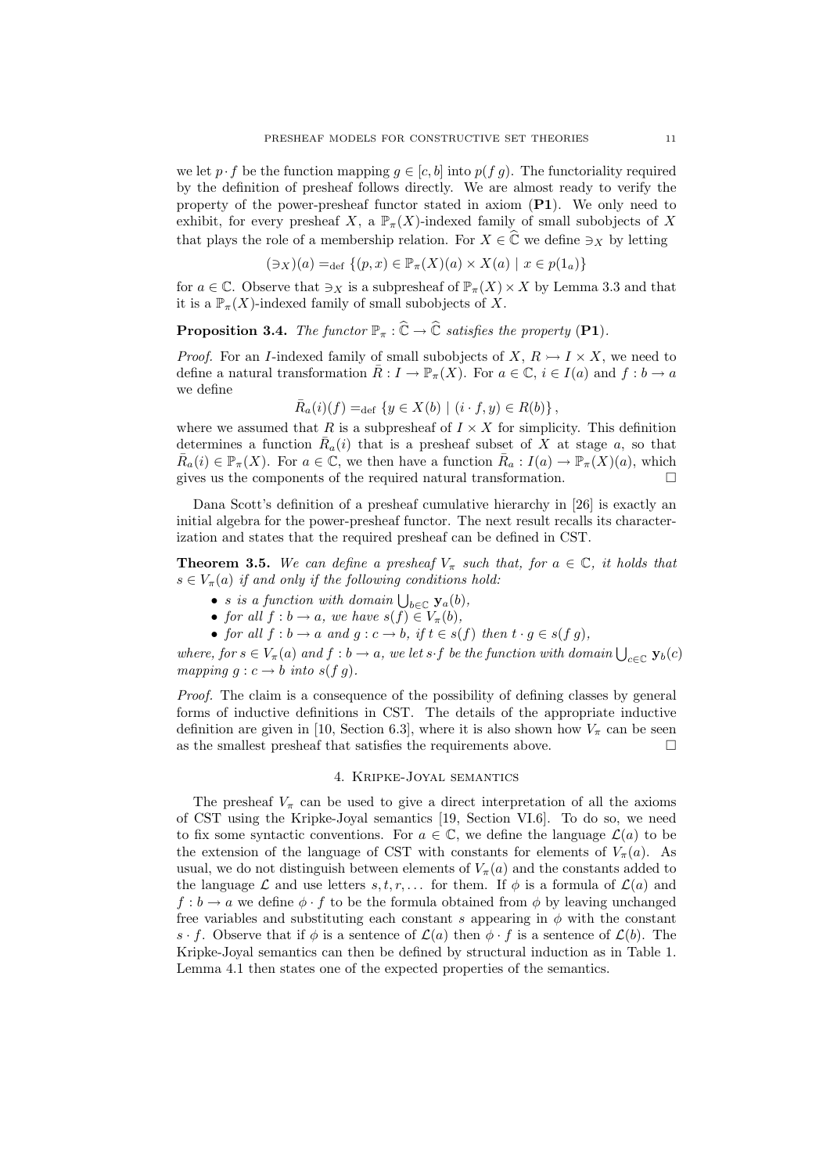we let p·f be the function mapping  $g \in [c, b]$  into  $p(f g)$ . The functoriality required by the definition of presheaf follows directly. We are almost ready to verify the property of the power-presheaf functor stated in axiom (P1). We only need to exhibit, for every presheaf X, a  $\mathbb{P}_{\pi}(X)$ -indexed family of small subobjects of X that plays the role of a membership relation. For  $X \in \mathbb{C}$  we define  $\supseteq_X$  by letting

$$
(\ni_X)(a) =_{\text{def}} \{ (p, x) \in \mathbb{P}_{\pi}(X)(a) \times X(a) \mid x \in p(1_a) \}
$$

for  $a \in \mathbb{C}$ . Observe that  $\exists X$  is a subpresheaf of  $\mathbb{P}_{\pi}(X) \times X$  by Lemma 3.3 and that it is a  $\mathbb{P}_{\pi}(X)$ -indexed family of small subobjects of X.

**Proposition 3.4.** The functor  $\mathbb{P}_{\pi} : \widehat{\mathbb{C}} \to \widehat{\mathbb{C}}$  satisfies the property (P1).

*Proof.* For an *I*-indexed family of small subobjects of  $X, R \rightarrow I \times X$ , we need to define a natural transformation  $\overline{R}: I \to \mathbb{P}_{\pi}(X)$ . For  $a \in \mathbb{C}$ ,  $i \in I(a)$  and  $f : b \to a$ we define

$$
\bar{R}_a(i)(f) =_{\text{def}} \{ y \in X(b) \mid (i \cdot f, y) \in R(b) \},
$$

where we assumed that R is a subpresheaf of  $I \times X$  for simplicity. This definition determines a function  $\bar{R}_a(i)$  that is a presheaf subset of X at stage a, so that  $\bar{R}_a(i) \in \mathbb{P}_{\pi}(X)$ . For  $a \in \mathbb{C}$ , we then have a function  $\bar{R}_a: I(a) \to \mathbb{P}_{\pi}(X)(a)$ , which gives us the components of the required natural transformation.  $\Box$ 

Dana Scott's definition of a presheaf cumulative hierarchy in [26] is exactly an initial algebra for the power-presheaf functor. The next result recalls its characterization and states that the required presheaf can be defined in CST.

**Theorem 3.5.** We can define a presheaf  $V_\pi$  such that, for  $a \in \mathbb{C}$ , it holds that  $s \in V_{\pi}(a)$  if and only if the following conditions hold:

- s is a function with domain  $\bigcup_{b \in \mathbb{C}} \mathbf{y}_a(b)$ ,
- for all  $f : b \to a$ , we have  $s(f) \in V_{\pi}(b)$ ,
- for all  $f : b \to a$  and  $g : c \to b$ , if  $t \in s(f)$  then  $t \cdot g \in s(f g)$ ,

where, for  $s \in V_{\pi}(a)$  and  $f : b \to a$ , we let  $s \cdot f$  be the function with domain  $\bigcup_{c \in \mathbb{C}} \mathbf{y}_b(c)$ mapping  $g: c \rightarrow b$  into  $s(f g)$ .

Proof. The claim is a consequence of the possibility of defining classes by general forms of inductive definitions in CST. The details of the appropriate inductive definition are given in [10, Section 6.3], where it is also shown how  $V_{\pi}$  can be seen as the smallest presheaf that satisfies the requirements above.  $\Box$ 

### 4. Kripke-Joyal semantics

The presheaf  $V_{\pi}$  can be used to give a direct interpretation of all the axioms of CST using the Kripke-Joyal semantics [19, Section VI.6]. To do so, we need to fix some syntactic conventions. For  $a \in \mathbb{C}$ , we define the language  $\mathcal{L}(a)$  to be the extension of the language of CST with constants for elements of  $V_{\pi}(a)$ . As usual, we do not distinguish between elements of  $V_\pi(a)$  and the constants added to the language  $\mathcal L$  and use letters  $s, t, r, \ldots$  for them. If  $\phi$  is a formula of  $\mathcal L(a)$  and  $f : b \to a$  we define  $\phi \cdot f$  to be the formula obtained from  $\phi$  by leaving unchanged free variables and substituting each constant s appearing in  $\phi$  with the constant s · f. Observe that if  $\phi$  is a sentence of  $\mathcal{L}(a)$  then  $\phi \cdot f$  is a sentence of  $\mathcal{L}(b)$ . The Kripke-Joyal semantics can then be defined by structural induction as in Table 1. Lemma 4.1 then states one of the expected properties of the semantics.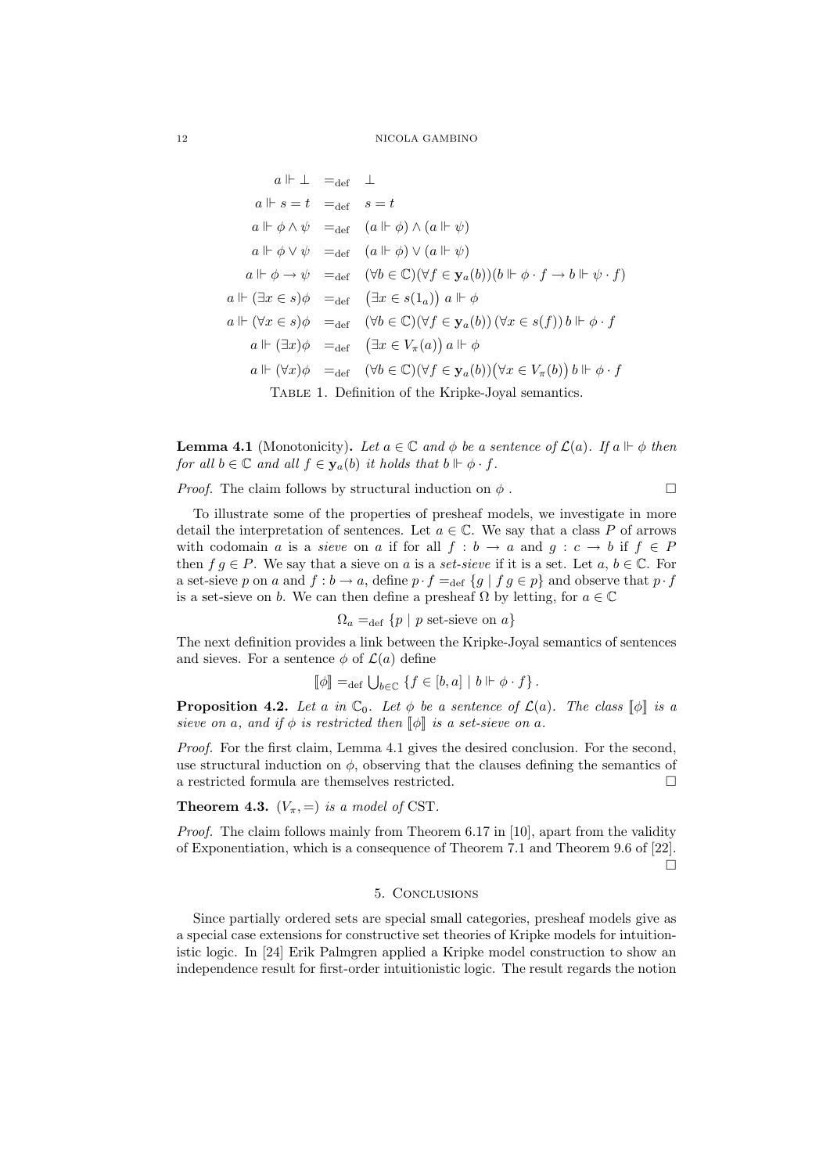$$
a \Vdash \bot =_{def} \bot
$$
  
\n
$$
a \Vdash s = t =_{def} s = t
$$
  
\n
$$
a \Vdash \phi \land \psi =_{def} (a \Vdash \phi) \land (a \Vdash \psi)
$$
  
\n
$$
a \Vdash \phi \lor \psi =_{def} (a \Vdash \phi) \lor (a \Vdash \psi)
$$
  
\n
$$
a \Vdash \phi \to \psi =_{def} (\forall b \in \mathbb{C})(\forall f \in \mathbf{y}_a(b))(b \Vdash \phi \cdot f \to b \Vdash \psi \cdot f)
$$
  
\n
$$
a \Vdash (\exists x \in s)\phi =_{def} (\exists x \in s(1_a)) \ a \Vdash \phi
$$
  
\n
$$
a \Vdash (\forall x \in s)\phi =_{def} (\forall b \in \mathbb{C})(\forall f \in \mathbf{y}_a(b)) (\forall x \in s(f)) b \Vdash \phi \cdot f
$$
  
\n
$$
a \Vdash (\exists x)\phi =_{def} (\exists x \in V_{\pi}(a)) a \Vdash \phi
$$
  
\n
$$
a \Vdash (\forall x)\phi =_{def} (\forall b \in \mathbb{C})(\forall f \in \mathbf{y}_a(b)) (\forall x \in V_{\pi}(b)) b \Vdash \phi \cdot f
$$
  
\nTABLE 1. Definition of the Kripke-Joyal semantics.

**Lemma 4.1** (Monotonicity). Let  $a \in \mathbb{C}$  and  $\phi$  be a sentence of  $\mathcal{L}(a)$ . If  $a \Vdash \phi$  then for all  $b \in \mathbb{C}$  and all  $f \in \mathbf{y}_a(b)$  it holds that  $b \Vdash \phi \cdot f$ .

*Proof.* The claim follows by structural induction on  $\phi$ .

$$
\Box
$$

To illustrate some of the properties of presheaf models, we investigate in more detail the interpretation of sentences. Let  $a \in \mathbb{C}$ . We say that a class P of arrows with codomain a is a sieve on a if for all  $f : b \to a$  and  $g : c \to b$  if  $f \in P$ then  $f \circ g \in P$ . We say that a sieve on a is a set-sieve if it is a set. Let  $a, b \in \mathbb{C}$ . For a set-sieve p on a and  $f : b \to a$ , define  $p \cdot f =_{def} \{g \mid f g \in p\}$  and observe that  $p \cdot f$ is a set-sieve on b. We can then define a presheaf  $\Omega$  by letting, for  $a \in \mathbb{C}$ 

 $\Omega_a =_{\mathrm{def}} \{ p ~|~ p \text{ set-size on } a \}$ 

The next definition provides a link between the Kripke-Joyal semantics of sentences and sieves. For a sentence  $\phi$  of  $\mathcal{L}(a)$  define

$$
\llbracket \phi \rrbracket =_{\text{def}} \bigcup_{b \in \mathbb{C}} \{ f \in [b, a] \mid b \Vdash \phi \cdot f \}.
$$

**Proposition 4.2.** Let a in  $\mathbb{C}_0$ . Let  $\phi$  be a sentence of  $\mathcal{L}(a)$ . The class  $\llbracket \phi \rrbracket$  is a sieve on a, and if  $\phi$  is restricted then  $\llbracket \phi \rrbracket$  is a set-sieve on a.

Proof. For the first claim, Lemma 4.1 gives the desired conclusion. For the second, use structural induction on  $\phi$ , observing that the clauses defining the semantics of a restricted formula are themselves restricted.

## **Theorem 4.3.**  $(V_{\pi}, =)$  is a model of CST.

*Proof.* The claim follows mainly from Theorem 6.17 in [10], apart from the validity of Exponentiation, which is a consequence of Theorem 7.1 and Theorem 9.6 of [22].  $\Box$ 

# 5. Conclusions

Since partially ordered sets are special small categories, presheaf models give as a special case extensions for constructive set theories of Kripke models for intuitionistic logic. In [24] Erik Palmgren applied a Kripke model construction to show an independence result for first-order intuitionistic logic. The result regards the notion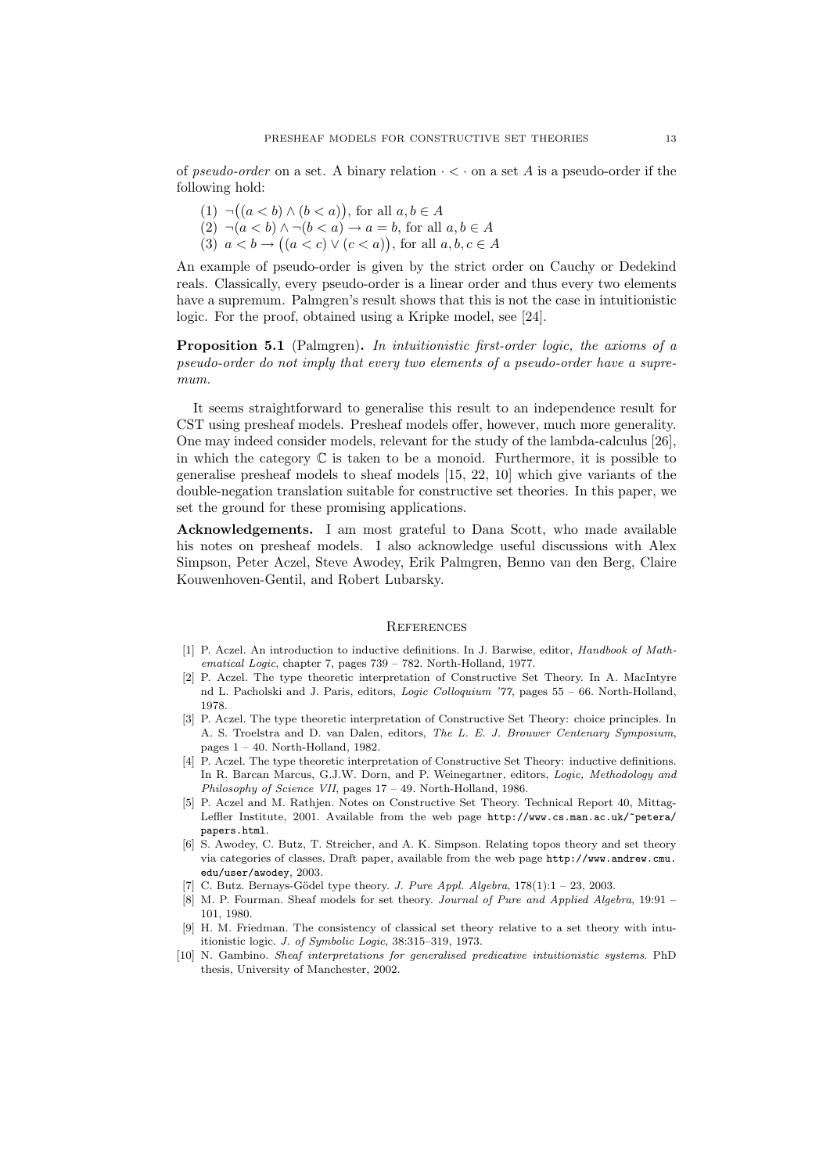of pseudo-order on a set. A binary relation  $\cdot$   $\lt$   $\cdot$  on a set A is a pseudo-order if the following hold:

 $(1) \neg ((a < b) \land (b < a)),$  for all  $a, b \in A$ (2)  $\neg(a < b) \land \neg(b < a) \rightarrow a = b$ , for all  $a, b \in A$ (3)  $a < b \rightarrow ((a < c) \vee (c < a))$ , for all  $a, b, c \in A$ 

An example of pseudo-order is given by the strict order on Cauchy or Dedekind reals. Classically, every pseudo-order is a linear order and thus every two elements have a supremum. Palmgren's result shows that this is not the case in intuitionistic logic. For the proof, obtained using a Kripke model, see [24].

Proposition 5.1 (Palmgren). In intuitionistic first-order logic, the axioms of a pseudo-order do not imply that every two elements of a pseudo-order have a supremum.

It seems straightforward to generalise this result to an independence result for CST using presheaf models. Presheaf models offer, however, much more generality. One may indeed consider models, relevant for the study of the lambda-calculus [26], in which the category  $\mathbb C$  is taken to be a monoid. Furthermore, it is possible to generalise presheaf models to sheaf models [15, 22, 10] which give variants of the double-negation translation suitable for constructive set theories. In this paper, we set the ground for these promising applications.

Acknowledgements. I am most grateful to Dana Scott, who made available his notes on presheaf models. I also acknowledge useful discussions with Alex Simpson, Peter Aczel, Steve Awodey, Erik Palmgren, Benno van den Berg, Claire Kouwenhoven-Gentil, and Robert Lubarsky.

#### **REFERENCES**

- [1] P. Aczel. An introduction to inductive definitions. In J. Barwise, editor, Handbook of Mathematical Logic, chapter 7, pages 739 – 782. North-Holland, 1977.
- [2] P. Aczel. The type theoretic interpretation of Constructive Set Theory. In A. MacIntyre nd L. Pacholski and J. Paris, editors, Logic Colloquium '77, pages 55 – 66. North-Holland, 1978.
- [3] P. Aczel. The type theoretic interpretation of Constructive Set Theory: choice principles. In A. S. Troelstra and D. van Dalen, editors, The L. E. J. Brouwer Centenary Symposium, pages  $1 - 40$ . North-Holland, 1982.
- [4] P. Aczel. The type theoretic interpretation of Constructive Set Theory: inductive definitions. In R. Barcan Marcus, G.J.W. Dorn, and P. Weinegartner, editors, Logic, Methodology and Philosophy of Science VII, pages  $17 - 49$ . North-Holland, 1986.
- [5] P. Aczel and M. Rathjen. Notes on Constructive Set Theory. Technical Report 40, Mittag-Leffler Institute, 2001. Available from the web page http://www.cs.man.ac.uk/~petera/ papers.html.
- [6] S. Awodey, C. Butz, T. Streicher, and A. K. Simpson. Relating topos theory and set theory via categories of classes. Draft paper, available from the web page http://www.andrew.cmu. edu/user/awodey, 2003.
- C. Butz. Bernays-Gödel type theory. J. Pure Appl. Algebra,  $178(1):1 23$ , 2003.
- [8] M. P. Fourman. Sheaf models for set theory. Journal of Pure and Applied Algebra, 19:91 -101, 1980.
- [9] H. M. Friedman. The consistency of classical set theory relative to a set theory with intuitionistic logic. J. of Symbolic Logic, 38:315–319, 1973.
- [10] N. Gambino. Sheaf interpretations for generalised predicative intuitionistic systems. PhD thesis, University of Manchester, 2002.